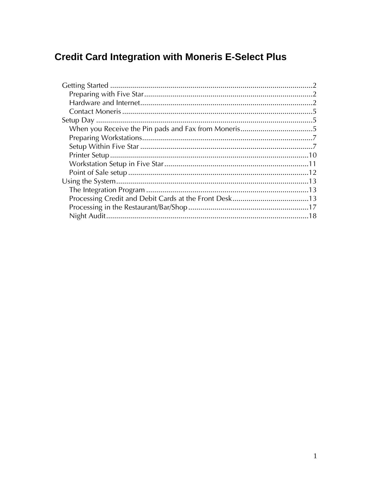# **Credit Card Integration with Moneris E-Select Plus**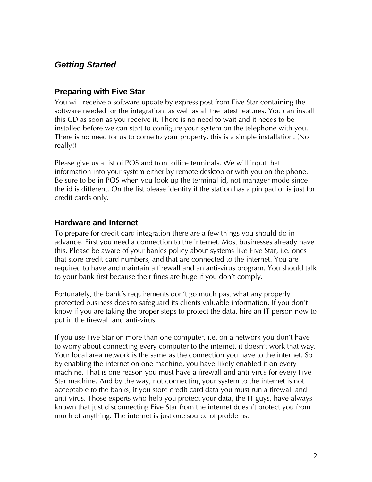## <span id="page-1-0"></span>*Getting Started*

#### <span id="page-1-1"></span>**Preparing with Five Star**

You will receive a software update by express post from Five Star containing the software needed for the integration, as well as all the latest features. You can install this CD as soon as you receive it. There is no need to wait and it needs to be installed before we can start to configure your system on the telephone with you. There is no need for us to come to your property, this is a simple installation. (No really!)

Please give us a list of POS and front office terminals. We will input that information into your system either by remote desktop or with you on the phone. Be sure to be in POS when you look up the terminal id, not manager mode since the id is different. On the list please identify if the station has a pin pad or is just for credit cards only.

#### <span id="page-1-2"></span>**Hardware and Internet**

To prepare for credit card integration there are a few things you should do in advance. First you need a connection to the internet. Most businesses already have this. Please be aware of your bank's policy about systems like Five Star, i.e. ones that store credit card numbers, and that are connected to the internet. You are required to have and maintain a firewall and an anti-virus program. You should talk to your bank first because their fines are huge if you don't comply.

Fortunately, the bank's requirements don't go much past what any properly protected business does to safeguard its clients valuable information. If you don't know if you are taking the proper steps to protect the data, hire an IT person now to put in the firewall and anti-virus.

If you use Five Star on more than one computer, i.e. on a network you don't have to worry about connecting every computer to the internet, it doesn't work that way. Your local area network is the same as the connection you have to the internet. So by enabling the internet on one machine, you have likely enabled it on every machine. That is one reason you must have a firewall and anti-virus for every Five Star machine. And by the way, not connecting your system to the internet is not acceptable to the banks, if you store credit card data you must run a firewall and anti-virus. Those experts who help you protect your data, the IT guys, have always known that just disconnecting Five Star from the internet doesn't protect you from much of anything. The internet is just one source of problems.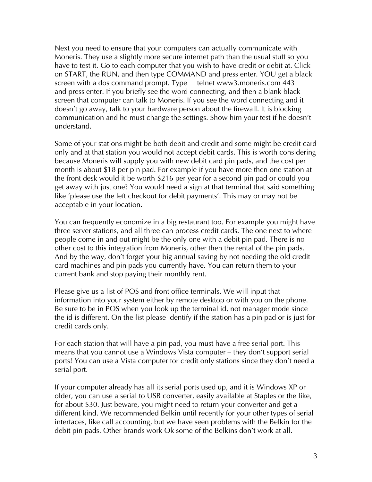Next you need to ensure that your computers can actually communicate with Moneris. They use a slightly more secure internet path than the usual stuff so you have to test it. Go to each computer that you wish to have credit or debit at. Click on START, the RUN, and then type COMMAND and press enter. YOU get a black screen with a dos command prompt. Type telnet www3.moneris.com 443 and press enter. If you briefly see the word connecting, and then a blank black screen that computer can talk to Moneris. If you see the word connecting and it doesn't go away, talk to your hardware person about the firewall. It is blocking communication and he must change the settings. Show him your test if he doesn't understand.

Some of your stations might be both debit and credit and some might be credit card only and at that station you would not accept debit cards. This is worth considering because Moneris will supply you with new debit card pin pads, and the cost per month is about \$18 per pin pad. For example if you have more then one station at the front desk would it be worth \$216 per year for a second pin pad or could you get away with just one? You would need a sign at that terminal that said something like 'please use the left checkout for debit payments'. This may or may not be acceptable in your location.

You can frequently economize in a big restaurant too. For example you might have three server stations, and all three can process credit cards. The one next to where people come in and out might be the only one with a debit pin pad. There is no other cost to this integration from Moneris, other then the rental of the pin pads. And by the way, don't forget your big annual saving by not needing the old credit card machines and pin pads you currently have. You can return them to your current bank and stop paying their monthly rent.

Please give us a list of POS and front office terminals. We will input that information into your system either by remote desktop or with you on the phone. Be sure to be in POS when you look up the terminal id, not manager mode since the id is different. On the list please identify if the station has a pin pad or is just for credit cards only.

For each station that will have a pin pad, you must have a free serial port. This means that you cannot use a Windows Vista computer — they don't support serial ports! You can use a Vista computer for credit only stations since they don't need a serial port.

If your computer already has all its serial ports used up, and it is Windows XP or older, you can use a serial to USB converter, easily available at Staples or the like, for about \$30. Just beware, you might need to return your converter and get a different kind. We recommended Belkin until recently for your other types of serial interfaces, like call accounting, but we have seen problems with the Belkin for the debit pin pads. Other brands work Ok some of the Belkins don't work at all.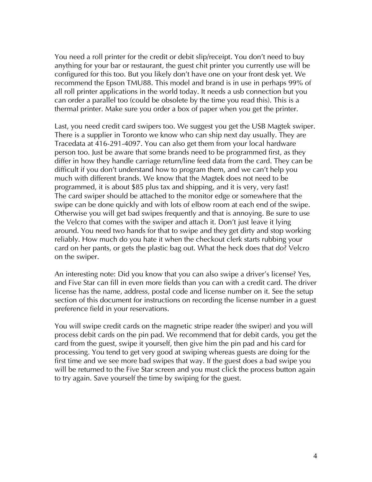You need a roll printer for the credit or debit slip/receipt. You don't need to buy anything for your bar or restaurant, the guest chit printer you currently use will be configured for this too. But you likely don't have one on your front desk yet. We recommend the Epson TMU88. This model and brand is in use in perhaps 99% of all roll printer applications in the world today. It needs a usb connection but you can order a parallel too (could be obsolete by the time you read this). This is a thermal printer. Make sure you order a box of paper when you get the printer.

Last, you need credit card swipers too. We suggest you get the USB Magtek swiper. There is a supplier in Toronto we know who can ship next day usually. They are Tracedata at 416-291-4097. You can also get them from your local hardware person too. Just be aware that some brands need to be programmed first, as they differ in how they handle carriage return/line feed data from the card. They can be difficult if you don't understand how to program them, and we can't help you much with different brands. We know that the Magtek does not need to be programmed, it is about \$85 plus tax and shipping, and it is very, very fast! The card swiper should be attached to the monitor edge or somewhere that the swipe can be done quickly and with lots of elbow room at each end of the swipe. Otherwise you will get bad swipes frequently and that is annoying. Be sure to use the Velcro that comes with the swiper and attach it. Don't just leave it lying around. You need two hands for that to swipe and they get dirty and stop working reliably. How much do you hate it when the checkout clerk starts rubbing your card on her pants, or gets the plastic bag out. What the heck does that do? Velcro on the swiper.

An interesting note: Did you know that you can also swipe a driver's license? Yes, and Five Star can fill in even more fields than you can with a credit card. The driver license has the name, address, postal code and license number on it. See the setup section of this document for instructions on recording the license number in a guest preference field in your reservations.

You will swipe credit cards on the magnetic stripe reader (the swiper) and you will process debit cards on the pin pad. We recommend that for debit cards, you get the card from the guest, swipe it yourself, then give him the pin pad and his card for processing. You tend to get very good at swiping whereas guests are doing for the first time and we see more bad swipes that way. If the guest does a bad swipe you will be returned to the Five Star screen and you must click the process button again to try again. Save yourself the time by swiping for the guest.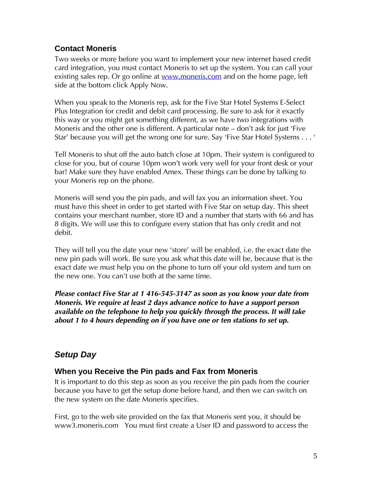## <span id="page-4-0"></span>**Contact Moneris**

Two weeks or more before you want to implement your new internet based credit card integration, you must contact Moneris to set up the system. You can call your existing sales rep. Or go online at <u>www.moneris.com</u> and on the home page, left side at the bottom click Apply Now.

When you speak to the Moneris rep, ask for the Five Star Hotel Systems E-Select Plus Integration for credit and debit card processing. Be sure to ask for it exactly this way or you might get something different, as we have two integrations with Moneris and the other one is different. A particular note — don't ask for just 'Five Star' because you will get the wrong one for sure. Say 'Five Star Hotel Systems . . . '

Tell Moneris to shut off the auto batch close at 10pm. Their system is configured to close for you, but of course 10pm won't work very well for your front desk or your bar! Make sure they have enabled Amex. These things can be done by talking to your Moneris rep on the phone.

Moneris will send you the pin pads, and will fax you an information sheet. You must have this sheet in order to get started with Five Star on setup day. This sheet contains your merchant number, store ID and a number that starts with 66 and has 8 digits. We will use this to configure every station that has only credit and not debit.

They will tell you the date your new 'store' will be enabled, i.e. the exact date the new pin pads will work. Be sure you ask what this date will be, because that is the exact date we must help you on the phone to turn off your old system and turn on the new one. You can't use both at the same time.

*Please contact Five Star at 1 416-545-3147 as soon as you know your date from Moneris. We require at least 2 days advance notice to have a support person available on the telephone to help you quickly through the process. It will take about 1 to 4 hours depending on if you have one or ten stations to set up.* 

## <span id="page-4-1"></span>*Setup Day*

## <span id="page-4-2"></span>**When you Receive the Pin pads and Fax from Moneris**

It is important to do this step as soon as you receive the pin pads from the courier because you have to get the setup done before hand, and then we can switch on the new system on the date Moneris specifies.

First, go to the web site provided on the fax that Moneris sent you, it should be www3.moneris.com You must first create a User ID and password to access the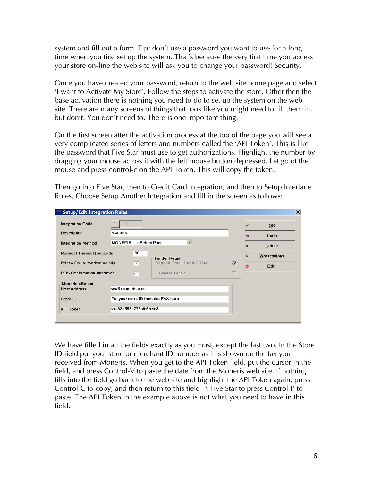system and fill out a form. Tip: don't use a password you want to use for a long time when you first set up the system. That's because the very first time you access your store on-line the web site will ask you to change your password! Security.

Once you have created your password, return to the web site home page and select 'I want to Activate My Store'. Follow the steps to activate the store. Other then the base activation there is nothing you need to do to set up the system on the web site. There are many screens of things that look like you might need to fill them in, but don't. You don't need to. There is one important thing:

On the first screen after the activation process at the top of the page you will see a very complicated series of letters and numbers called the 'API Token'. This is like the password that Five Star must use to get authorizations. Highlight the number by dragging your mouse across it with the left mouse button depressed. Let go of the mouse and press control-c on the API Token. This will copy the token.

| Setup/Edit Integration Rules     |              |                        |                                     |   |           |               |
|----------------------------------|--------------|------------------------|-------------------------------------|---|-----------|---------------|
| <b>Integration Code</b>          | $\epsilon_2$ |                        |                                     |   | ◡         | OK            |
| <b>Description</b>               | Moneris      |                        |                                     |   | э         | Undo          |
| <b>Integration Method</b>        |              | MONERIS - eSelect Plus |                                     |   | ٠         | <b>Delete</b> |
| <b>Request Timeout (Seconds)</b> |              | 90                     | <b>Tender Retail</b>                |   | 昌         | Workstations  |
| Print a Pre-Authorization slip   |              | ▽                      | Append Track 1 and 2 Data           | ∇ | $\bullet$ | Exit          |
| <b>POS Confirmation Window?</b>  |              | ∇                      | Payment Tech?                       |   |           |               |
| <b>Moneris eSelect</b>           |              |                        |                                     |   |           |               |
| <b>Host Address</b>              |              | ww3.moneris.com        |                                     |   |           |               |
| Store ID                         |              |                        | Put your store ID from the FAX here |   |           |               |
| <b>API Token</b>                 |              | xx432e553h776s6t5rr4e3 |                                     |   |           |               |

Then go into Five Star, then to Credit Card Integration, and then to Setup Interface Rules. Choose Setup Another Integration and fill in the screen as follows:

We have filled in all the fields exactly as you must, except the last two. In the Store ID field put your store or merchant ID number as it is shown on the fax you received from Moneris. When you get to the API Token field, put the cursor in the field, and press Control-V to paste the date from the Moneris web site. If nothing fills into the field go back to the web site and highlight the API Token again, press Control-C to copy, and then return to this field in Five Star to press Control-P to paste. The API Token in the example above is not what you need to have in this field.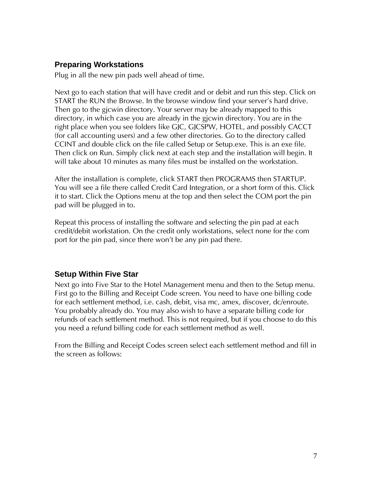#### <span id="page-6-0"></span>**Preparing Workstations**

Plug in all the new pin pads well ahead of time.

Next go to each station that will have credit and or debit and run this step. Click on START the RUN the Browse. In the browse window find your server's hard drive. Then go to the gjcwin directory. Your server may be already mapped to this directory, in which case you are already in the gjcwin directory. You are in the right place when you see folders like GJC, GJCSPW, HOTEL, and possibly CACCT (for call accounting users) and a few other directories. Go to the directory called CCINT and double click on the file called Setup or Setup.exe. This is an exe file. Then click on Run. Simply click next at each step and the installation will begin. It will take about 10 minutes as many files must be installed on the workstation.

After the installation is complete, click START then PROGRAMS then STARTUP. You will see a file there called Credit Card Integration, or a short form of this. Click it to start. Click the Options menu at the top and then select the COM port the pin pad will be plugged in to.

Repeat this process of installing the software and selecting the pin pad at each credit/debit workstation. On the credit only workstations, select none for the com port for the pin pad, since there won't be any pin pad there.

## <span id="page-6-1"></span>**Setup Within Five Star**

Next go into Five Star to the Hotel Management menu and then to the Setup menu. First go to the Billing and Receipt Code screen. You need to have one billing code for each settlement method, i.e. cash, debit, visa mc, amex, discover, dc/enroute. You probably already do. You may also wish to have a separate billing code for refunds of each settlement method. This is not required, but if you choose to do this you need a refund billing code for each settlement method as well.

From the Billing and Receipt Codes screen select each settlement method and fill in the screen as follows: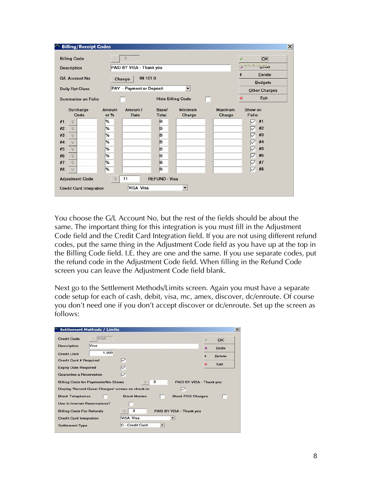|    | <b>Billing/Receipt Codes</b>   |                |                          |                          |                          |                   |                           | $\vert x \vert$ |
|----|--------------------------------|----------------|--------------------------|--------------------------|--------------------------|-------------------|---------------------------|-----------------|
|    | <b>Billing Code</b>            | $\epsilon_2$   | 3                        |                          |                          |                   | OK                        |                 |
|    | Description                    |                | PAID BY VISA - Thank you |                          |                          |                   | Accept the data & proceed |                 |
|    | <b>G/L Account No</b>          |                | 99 101 0<br>Change       |                          |                          |                   | <b>Delete</b>             |                 |
|    |                                |                |                          |                          |                          |                   | <b>Budgets</b>            |                 |
|    | <b>Daily Rpt Class</b>         |                | PAY - Payment or Deposit |                          | $\overline{\phantom{a}}$ |                   | Other Charges             |                 |
|    | Summarize on Folio             |                |                          | <b>Hide Billing Code</b> |                          |                   | Exit                      |                 |
|    | Surcharge<br>Code              | Amount<br>or % | Amount /<br>Rate         | Base/<br><b>Total</b>    | <b>Minimum</b><br>Charge | Maximum<br>Charge | Show on<br>Folio          |                 |
| #1 | ó                              | %              |                          | B                        |                          |                   | #1<br>✓                   |                 |
| #2 | $\circ$                        | %              |                          | B                        |                          |                   | #2<br>✓                   |                 |
| #3 | $\mathbf Q$                    | %              |                          | lB.                      |                          |                   | #3                        |                 |
| #4 | $\circ$                        | %              |                          | B                        |                          |                   | #4                        |                 |
| #5 | $\mathsf{Q}$                   | %              |                          | B                        |                          |                   | #5                        |                 |
| #6 | $\circ$                        | %              |                          | lB                       |                          |                   | #6                        |                 |
| #7 | $\mathsf{Q}$                   | %              |                          | B                        |                          |                   | #7                        |                 |
| #8 | $\mathsf{Q}$                   | %              |                          | B                        |                          |                   | #8<br>▽                   |                 |
|    | <b>Adjustment Code</b>         | $\mathsf{Q}$   | 11                       | <b>REFUND - Visa</b>     |                          |                   |                           |                 |
|    | <b>Credit Card Integration</b> |                | VISA Visa                |                          |                          |                   |                           |                 |

You choose the G/L Account No, but the rest of the fields should be about the same. The important thing for this integration is you must fill in the Adjustment Code field and the Credit Card Integration field. If you are not using different refund codes, put the same thing in the Adjustment Code field as you have up at the top in the Billing Code field. I.E. they are one and the same. If you use separate codes, put the refund code in the Adjustment Code field. When filling in the Refund Code screen you can leave the Adjustment Code field blank.

Next go to the Settlement Methods/Limits screen. Again you must have a separate code setup for each of cash, debit, visa, mc, amex, discover, dc/enroute. Of course you don't need one if you don't accept discover or dc/enroute. Set up the screen as follows:

| <b>Settlement Methods / Limits</b>        |             |                                                   |                          |
|-------------------------------------------|-------------|---------------------------------------------------|--------------------------|
| <b>Credit Code</b>                        | <b>VISA</b> |                                                   | OK                       |
| <b>Description</b>                        | Visa        |                                                   | Undo<br>ь                |
| <b>Credit Limit</b>                       | 1,000       |                                                   | <b>Delete</b><br>會       |
| <b>Credit Card # Required</b>             |             | ▽                                                 |                          |
| <b>Expiry Date Required</b>               |             | ▽                                                 | Exit                     |
| <b>Guarantee a Reservation</b>            |             | ▽                                                 |                          |
| <b>Billing Code for Payments/No-Shows</b> |             | з<br>$\mathcal{Q}$                                | PAID BY VISA - Thank you |
|                                           |             | Display 'Record Guest Charges' screen on check-in |                          |
| <b>Block Telephones</b>                   |             | <b>Block Movies</b>                               | <b>Block POS Charges</b> |
| Use in Internet Reservations?             |             |                                                   |                          |
| <b>Billing Code For Refunds</b>           |             | з<br>PAID BY VISA - Thank you<br>$\mathsf{Q}$     |                          |
| <b>Credit Card Integration</b>            |             | <b>VISA Visa</b>                                  |                          |
| <b>Settlement Type</b>                    |             | C - Credit Card                                   |                          |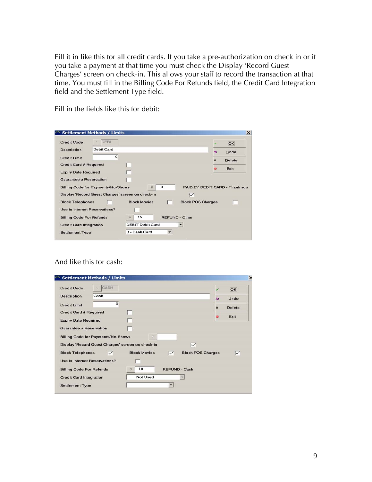Fill it in like this for all credit cards. If you take a pre-authorization on check in or if you take a payment at that time you must check the Display 'Record Guest Charges' screen on check-in. This allows your staff to record the transaction at that time. You must fill in the Billing Code For Refunds field, the Credit Card Integration field and the Settlement Type field.

Fill in the fields like this for debit:

|                                 | <b>Settlement Methods / Limits</b>        |                                                   |                       |                          |   | $\times$                       |
|---------------------------------|-------------------------------------------|---------------------------------------------------|-----------------------|--------------------------|---|--------------------------------|
| <b>Credit Code</b>              | DEBI                                      |                                                   |                       |                          |   | OK                             |
| <b>Description</b>              | <b>Debit Card</b>                         |                                                   |                       |                          | ь | Undo                           |
| <b>Credit Limit</b>             | $\Omega$                                  |                                                   |                       |                          | 當 | <b>Delete</b>                  |
| <b>Credit Card # Required</b>   |                                           |                                                   |                       |                          |   | Exit                           |
| <b>Expiry Date Required</b>     |                                           |                                                   |                       |                          |   |                                |
|                                 |                                           |                                                   |                       |                          |   |                                |
| <b>Guarantee a Reservation</b>  |                                           |                                                   |                       |                          |   |                                |
|                                 | <b>Billing Code for Payments/No-Shows</b> |                                                   | o                     |                          |   | PAID BY DEBIT CARD - Thank you |
|                                 |                                           | Display 'Record Guest Charges' screen on check-in |                       | $\checkmark$             |   |                                |
| <b>Block Telephones</b>         |                                           | <b>Block Movies</b>                               |                       | <b>Block POS Charges</b> |   |                                |
| Use in Internet Reservations?   |                                           |                                                   |                       |                          |   |                                |
| <b>Billing Code For Refunds</b> |                                           | 15<br>$\ddot{Q}$                                  | <b>REFUND - Other</b> |                          |   |                                |
| <b>Credit Card Integration</b>  |                                           | <b>DEBIT Debit Card</b>                           |                       | ▼                        |   |                                |

#### And like this for cash:

|                                      | <b>Settlement Methods / Limits</b>        |                                                   |                      |                          |   |               |
|--------------------------------------|-------------------------------------------|---------------------------------------------------|----------------------|--------------------------|---|---------------|
| <b>Credit Code</b>                   | CASH                                      |                                                   |                      |                          |   | OK            |
| <b>Description</b>                   | Cash                                      |                                                   |                      |                          | 医 | Undo          |
| <b>Credit Limit</b>                  | $\Omega$                                  |                                                   |                      |                          | 會 | <b>Delete</b> |
| <b>Credit Card # Required</b>        |                                           |                                                   |                      |                          |   |               |
| <b>Expiry Date Required</b>          |                                           |                                                   |                      |                          |   | Exit          |
| <b>Guarantee a Reservation</b>       |                                           |                                                   |                      |                          |   |               |
|                                      | <b>Billing Code for Payments/No-Shows</b> | $\circ$                                           |                      |                          |   |               |
|                                      |                                           | Display 'Record Guest Charges' screen on check-in |                      | $\triangledown$          |   |               |
| <b>Block Telephones</b>              | ▽                                         | <b>Block Movies</b>                               | ▽                    | <b>Block POS Charges</b> |   | ▽             |
| <b>Use in Internet Reservations?</b> |                                           |                                                   |                      |                          |   |               |
| <b>Billing Code For Refunds</b>      |                                           | 10<br>$\mathsf{Q}$                                | <b>REFUND - Cash</b> |                          |   |               |
| <b>Credit Card Integration</b>       |                                           | <b>Not Used</b>                                   |                      | $\checkmark$             |   |               |
| <b>Settlement Type</b>               |                                           |                                                   |                      |                          |   |               |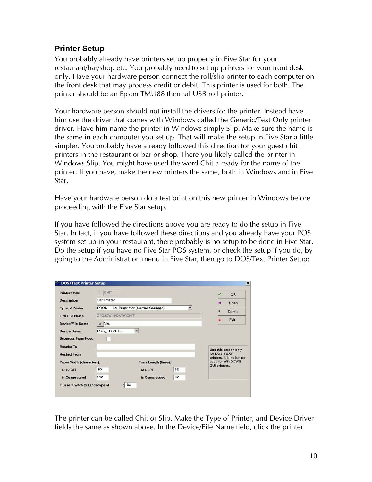#### <span id="page-9-0"></span>**Printer Setup**

You probably already have printers set up properly in Five Star for your restaurant/bar/shop etc. You probably need to set up printers for your front desk only. Have your hardware person connect the roll/slip printer to each computer on the front desk that may process credit or debit. This printer is used for both. The printer should be an Epson TMU88 thermal USB roll printer.

Your hardware person should not install the drivers for the printer. Instead have him use the driver that comes with Windows called the Generic/Text Only printer driver. Have him name the printer in Windows simply Slip. Make sure the name is the same in each computer you set up. That will make the setup in Five Star a little simpler. You probably have already followed this direction for your guest chit printers in the restaurant or bar or shop. There you likely called the printer in Windows Slip. You might have used the word Chit already for the name of the printer. If you have, make the new printers the same, both in Windows and in Five Star.

Have your hardware person do a test print on this new printer in Windows before proceeding with the Five Star setup.

If you have followed the directions above you are ready to do the setup in Five Star. In fact, if you have followed these directions and you already have your POS system set up in your restaurant, there probably is no setup to be done in Five Star. Do the setup if you have no Five Star POS system, or check the setup if you do, by going to the Administration menu in Five Star, then go to DOS/Text Printer Setup:

| <b>Printer Code</b>       | CHIT                       |                                         |    | OK                                            |
|---------------------------|----------------------------|-----------------------------------------|----|-----------------------------------------------|
| <b>Description</b>        | <b>Chit Printer</b>        |                                         |    | Undo<br>ь                                     |
| <b>Type of Printer</b>    |                            | PRON - IBM Proprinter (Narrow Carriage) | ۰  | <b>Delete</b><br>$\blacksquare$               |
| <b>Link File Name</b>     | <b>C:\GJCWIN\DATA\CHIT</b> |                                         |    |                                               |
| Device/File Name          | Slip<br>a                  |                                         |    | Exit                                          |
| <b>Device Driver</b>      | POS_EPSN.T88               | $\overline{\phantom{0}}$                |    |                                               |
| <b>Suppress Form Feed</b> |                            |                                         |    |                                               |
| <b>Restrict To</b>        |                            |                                         |    | Use this screen only                          |
| <b>Restrict From</b>      |                            |                                         |    | for DOS TEXT                                  |
| Paper Width (characters): |                            | Form Length (lines):                    |    | printers. It is no longer<br>used for WINDOWS |
|                           | 80                         | $-$ at 6 LPI                            | 62 | <b>GUI printers.</b>                          |
| - at 10 CPI               |                            |                                         |    |                                               |

The printer can be called Chit or Slip. Make the Type of Printer, and Device Driver fields the same as shown above. In the Device/File Name field, click the printer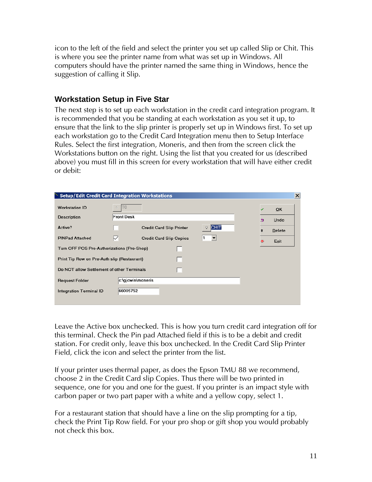icon to the left of the field and select the printer you set up called Slip or Chit. This is where you see the printer name from what was set up in Windows. All computers should have the printer named the same thing in Windows, hence the suggestion of calling it Slip.

#### <span id="page-10-0"></span>**Workstation Setup in Five Star**

The next step is to set up each workstation in the credit card integration program. It is recommended that you be standing at each workstation as you set it up, to ensure that the link to the slip printer is properly set up in Windows first. To set up each workstation go to the Credit Card Integration menu then to Setup Interface Rules. Select the first integration, Moneris, and then from the screen click the Workstations button on the right. Using the list that you created for us (described above) you must fill in this screen for every workstation that will have either credit or debit:

|                                             | <b>Setup/Edit Credit Card Integration Workstations</b>         | $\vert x \vert$ |
|---------------------------------------------|----------------------------------------------------------------|-----------------|
| <b>Workstation ID</b>                       | T <sub>0</sub>                                                 | OK              |
| <b>Description</b>                          | <b>Front Desk</b>                                              | Undo<br>∍       |
| Active?                                     | <b>CHIT</b><br><b>Credit Card Slip Printer</b><br>$\mathsf{Q}$ | Delete          |
| <b>PINPad Attached</b>                      | ⋉<br><b>Credit Card Slip Copies</b><br>▼                       | Exit            |
| Turn OFF POS Pre-Authorizations (Pro-Shop)  |                                                                |                 |
| Print Tip Row on Pre-Auth slip (Restaurant) |                                                                |                 |
| Do NOT allow Settlement of other Terminals  |                                                                |                 |
| <b>Request Folder</b>                       | c:\gjcwin\moneris                                              |                 |
| <b>Integration Terminal ID</b>              | 66005752                                                       |                 |
|                                             |                                                                |                 |

Leave the Active box unchecked. This is how you turn credit card integration off for this terminal. Check the Pin pad Attached field if this is to be a debit and credit station. For credit only, leave this box unchecked. In the Credit Card Slip Printer Field, click the icon and select the printer from the list.

If your printer uses thermal paper, as does the Epson TMU 88 we recommend, choose 2 in the Credit Card slip Copies. Thus there will be two printed in sequence, one for you and one for the guest. If you printer is an impact style with carbon paper or two part paper with a white and a yellow copy, select 1.

For a restaurant station that should have a line on the slip prompting for a tip, check the Print Tip Row field. For your pro shop or gift shop you would probably not check this box.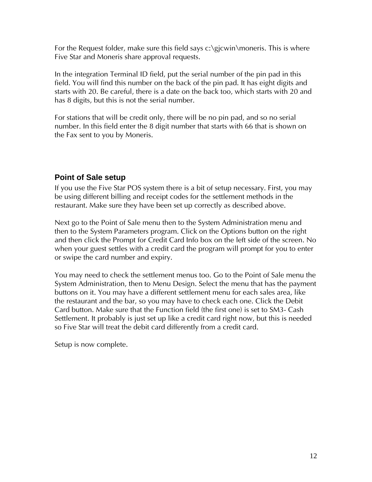For the Request folder, make sure this field says c:\gjcwin\moneris. This is where Five Star and Moneris share approval requests.

In the integration Terminal ID field, put the serial number of the pin pad in this field. You will find this number on the back of the pin pad. It has eight digits and starts with 20. Be careful, there is a date on the back too, which starts with 20 and has 8 digits, but this is not the serial number.

For stations that will be credit only, there will be no pin pad, and so no serial number. In this field enter the 8 digit number that starts with 66 that is shown on the Fax sent to you by Moneris.

## <span id="page-11-0"></span>**Point of Sale setup**

If you use the Five Star POS system there is a bit of setup necessary. First, you may be using different billing and receipt codes for the settlement methods in the restaurant. Make sure they have been set up correctly as described above.

Next go to the Point of Sale menu then to the System Administration menu and then to the System Parameters program. Click on the Options button on the right and then click the Prompt for Credit Card Info box on the left side of the screen. No when your guest settles with a credit card the program will prompt for you to enter or swipe the card number and expiry.

You may need to check the settlement menus too. Go to the Point of Sale menu the System Administration, then to Menu Design. Select the menu that has the payment buttons on it. You may have a different settlement menu for each sales area, like the restaurant and the bar, so you may have to check each one. Click the Debit Card button. Make sure that the Function field (the first one) is set to SM3- Cash Settlement. It probably is just set up like a credit card right now, but this is needed so Five Star will treat the debit card differently from a credit card.

Setup is now complete.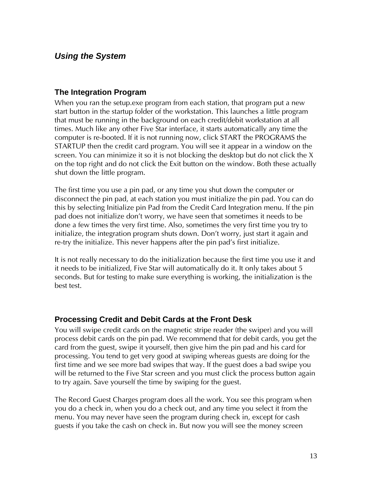## <span id="page-12-0"></span>*Using the System*

#### <span id="page-12-1"></span>**The Integration Program**

When you ran the setup.exe program from each station, that program put a new start button in the startup folder of the workstation. This launches a little program that must be running in the background on each credit/debit workstation at all times. Much like any other Five Star interface, it starts automatically any time the computer is re-booted. If it is not running now, click START the PROGRAMS the STARTUP then the credit card program. You will see it appear in a window on the screen. You can minimize it so it is not blocking the desktop but do not click the X on the top right and do not click the Exit button on the window. Both these actually shut down the little program.

The first time you use a pin pad, or any time you shut down the computer or disconnect the pin pad, at each station you must initialize the pin pad. You can do this by selecting Initialize pin Pad from the Credit Card Integration menu. If the pin pad does not initialize don't worry, we have seen that sometimes it needs to be done a few times the very first time. Also, sometimes the very first time you try to initialize, the integration program shuts down. Don't worry, just start it again and re-try the initialize. This never happens after the pin pad's first initialize.

It is not really necessary to do the initialization because the first time you use it and it needs to be initialized, Five Star will automatically do it. It only takes about 5 seconds. But for testing to make sure everything is working, the initialization is the best test.

#### <span id="page-12-2"></span>**Processing Credit and Debit Cards at the Front Desk**

You will swipe credit cards on the magnetic stripe reader (the swiper) and you will process debit cards on the pin pad. We recommend that for debit cards, you get the card from the guest, swipe it yourself, then give him the pin pad and his card for processing. You tend to get very good at swiping whereas guests are doing for the first time and we see more bad swipes that way. If the guest does a bad swipe you will be returned to the Five Star screen and you must click the process button again to try again. Save yourself the time by swiping for the guest.

The Record Guest Charges program does all the work. You see this program when you do a check in, when you do a check out, and any time you select it from the menu. You may never have seen the program during check in, except for cash guests if you take the cash on check in. But now you will see the money screen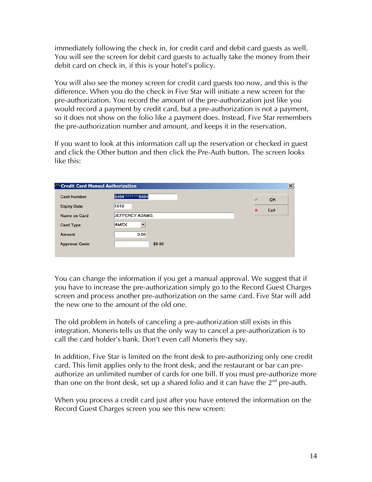immediately following the check in, for credit card and debit card guests as well. You will see the screen for debit card guests to actually take the money from their debit card on check in, if this is your hotel's policy.

You will also see the money screen for credit card guests too now, and this is the difference. When you do the check in Five Star will initiate a new screen for the pre-authorization. You record the amount of the pre-authorization just like you would record a payment by credit card, but a pre-authorization is not a payment, so it does not show on the folio like a payment does. Instead, Five Star remembers the pre-authorization number and amount, and keeps it in the reservation.

If you want to look at this information call up the reservation or checked in guest and click the Other button and then click the Pre-Auth button. The screen looks like this:

| Credit Card Manual Authorization |                        |                    | $\vert x \vert$ |
|----------------------------------|------------------------|--------------------|-----------------|
| <b>Card Number</b>               | 5454*********5454      | OK<br>$\checkmark$ |                 |
| <b>Expiry Date</b>               | 1010                   | Exit               |                 |
| Name on Card                     | <b>JEFFEREY ADAMS.</b> |                    |                 |
| Card Type                        | AMEX<br>▼              |                    |                 |
| Amount                           | 0.00                   |                    |                 |
| <b>Approval Code</b>             | \$0.00                 |                    |                 |
|                                  |                        |                    |                 |

You can change the information if you get a manual approval. We suggest that if you have to increase the pre-authorization simply go to the Record Guest Charges screen and process another pre-authorization on the same card. Five Star will add the new one to the amount of the old one.

The old problem in hotels of canceling a pre-authorization still exists in this integration. Moneris tells us that the only way to cancel a pre-authorization is to call the card holder's bank. Don't even call Moneris they say.

In addition, Five Star is limited on the front desk to pre-authorizing only one credit card. This limit applies only to the front desk, and the restaurant or bar can preauthorize an unlimited number of cards for one bill. If you must pre-authorize more than one on the front desk, set up a shared folio and it can have the  $2^{nd}$  pre-auth.

When you process a credit card just after you have entered the information on the Record Guest Charges screen you see this new screen: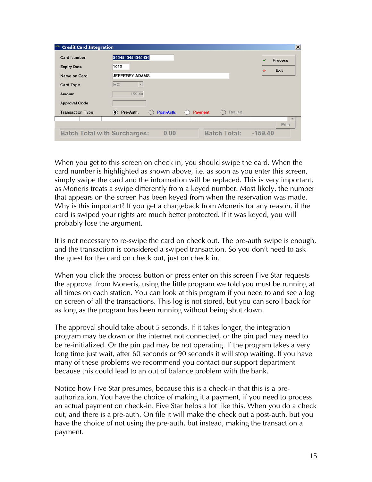| Credit Card Integration             |                                                                  | $\vert x \vert$         |
|-------------------------------------|------------------------------------------------------------------|-------------------------|
| <b>Card Number</b>                  | 5454545454545454                                                 | <b>Process</b><br>s     |
| <b>Expiry Date</b>                  | 1010                                                             | Exit<br>$\sigma$        |
| Name on Card                        | JEFFEREY ADAMS.                                                  |                         |
| <b>Card Type</b>                    | MC<br>$\overline{\phantom{a}}$                                   |                         |
| Amount                              | 159.40                                                           |                         |
| <b>Approval Code</b>                |                                                                  |                         |
| <b>Transaction Type</b>             | Pre-Auth.<br>Post-Auth.<br>Refund<br>$\bullet$<br><b>Payment</b> |                         |
|                                     |                                                                  | $\overline{\mathbf{w}}$ |
|                                     |                                                                  | Print                   |
| <b>Batch Total with Surcharges:</b> | <b>Batch Total:</b><br>0.00                                      | $-159.40$               |

When you get to this screen on check in, you should swipe the card. When the card number is highlighted as shown above, i.e. as soon as you enter this screen, simply swipe the card and the information will be replaced. This is very important, as Moneris treats a swipe differently from a keyed number. Most likely, the number that appears on the screen has been keyed from when the reservation was made. Why is this important? If you get a chargeback from Moneris for any reason, if the card is swiped your rights are much better protected. If it was keyed, you will probably lose the argument.

It is not necessary to re-swipe the card on check out. The pre-auth swipe is enough, and the transaction is considered a swiped transaction. So you don't need to ask the guest for the card on check out, just on check in.

When you click the process button or press enter on this screen Five Star requests the approval from Moneris, using the little program we told you must be running at all times on each station. You can look at this program if you need to and see a log on screen of all the transactions. This log is not stored, but you can scroll back for as long as the program has been running without being shut down.

The approval should take about 5 seconds. If it takes longer, the integration program may be down or the internet not connected, or the pin pad may need to be re-initialized. Or the pin pad may be not operating. If the program takes a very long time just wait, after 60 seconds or 90 seconds it will stop waiting. If you have many of these problems we recommend you contact our support department because this could lead to an out of balance problem with the bank.

Notice how Five Star presumes, because this is a check-in that this is a preauthorization. You have the choice of making it a payment, if you need to process an actual payment on check-in. Five Star helps a lot like this. When you do a check out, and there is a pre-auth. On file it will make the check out a post-auth, but you have the choice of not using the pre-auth, but instead, making the transaction a payment.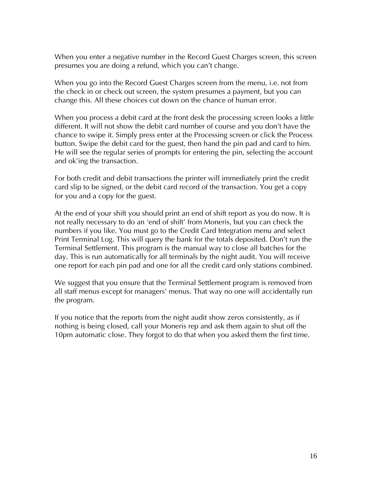When you enter a negative number in the Record Guest Charges screen, this screen presumes you are doing a refund, which you can't change.

When you go into the Record Guest Charges screen from the menu, i.e. not from the check in or check out screen, the system presumes a payment, but you can change this. All these choices cut down on the chance of human error.

When you process a debit card at the front desk the processing screen looks a little different. It will not show the debit card number of course and you don't have the chance to swipe it. Simply press enter at the Processing screen or click the Process button. Swipe the debit card for the guest, then hand the pin pad and card to him. He will see the regular series of prompts for entering the pin, selecting the account and ok'ing the transaction.

For both credit and debit transactions the printer will immediately print the credit card slip to be signed, or the debit card record of the transaction. You get a copy for you and a copy for the guest.

At the end of your shift you should print an end of shift report as you do now. It is not really necessary to do an 'end of shift' from Moneris, but you can check the numbers if you like. You must go to the Credit Card Integration menu and select Print Terminal Log. This will query the bank for the totals deposited. Don't run the Terminal Settlement. This program is the manual way to close all batches for the day. This is run automatically for all terminals by the night audit. You will receive one report for each pin pad and one for all the credit card only stations combined.

We suggest that you ensure that the Terminal Settlement program is removed from all staff menus except for managers' menus. That way no one will accidentally run the program.

If you notice that the reports from the night audit show zeros consistently, as if nothing is being closed, call your Moneris rep and ask them again to shut off the 10pm automatic close. They forgot to do that when you asked them the first time.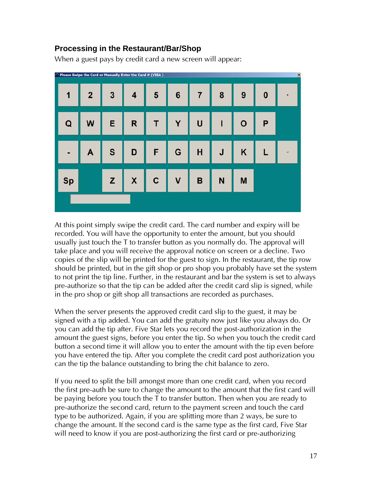#### **Processing in the Restaurant/Bar/Shop**

When a guest pays by credit card a new screen will appear:

<span id="page-16-0"></span>

At this point simply swipe the credit card. The card number and expiry will be recorded. You will have the opportunity to enter the amount, but you should usually just touch the T to transfer button as you normally do. The approval will take place and you will receive the approval notice on screen or a decline. Two copies of the slip will be printed for the guest to sign. In the restaurant, the tip row should be printed, but in the gift shop or pro shop you probably have set the system to not print the tip line. Further, in the restaurant and bar the system is set to always pre-authorize so that the tip can be added after the credit card slip is signed, while in the pro shop or gift shop all transactions are recorded as purchases.

When the server presents the approved credit card slip to the guest, it may be signed with a tip added. You can add the gratuity now just like you always do. Or you can add the tip after. Five Star lets you record the post-authorization in the amount the guest signs, before you enter the tip. So when you touch the credit card button a second time it will allow you to enter the amount with the tip even before you have entered the tip. After you complete the credit card post authorization you can the tip the balance outstanding to bring the chit balance to zero.

If you need to split the bill amongst more than one credit card, when you record the first pre-auth be sure to change the amount to the amount that the first card will be paying before you touch the T to transfer button. Then when you are ready to pre-authorize the second card, return to the payment screen and touch the card type to be authorized. Again, if you are splitting more than 2 ways, be sure to change the amount. If the second card is the same type as the first card, Five Star will need to know if you are post-authorizing the first card or pre-authorizing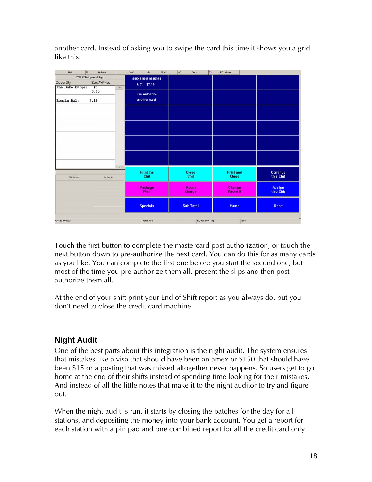| E<br>Mail       | Options                   |          | Send | $\omega$                       | Print | v | Done                  | ь                  | POS Menu                         |       |                            |
|-----------------|---------------------------|----------|------|--------------------------------|-------|---|-----------------------|--------------------|----------------------------------|-------|----------------------------|
|                 | ZZD1 ZZ Diningroom Integr |          |      | 54545454545454                 |       |   |                       |                    |                                  |       |                            |
| Desc/Oty        | Seat#/Price               |          |      | MC \$7.19 *                    |       |   |                       |                    |                                  |       |                            |
| The Duke Burger | #1                        | $\Delta$ |      |                                |       |   |                       |                    |                                  |       |                            |
| Remain.Bal:     | 6.25<br>7.19              |          |      | Pre-authorize<br>another card. |       |   |                       |                    |                                  |       |                            |
|                 |                           |          |      |                                |       |   |                       |                    |                                  |       |                            |
|                 |                           |          |      |                                |       |   |                       |                    |                                  |       |                            |
|                 |                           |          |      |                                |       |   |                       |                    |                                  |       |                            |
| Thi 18/Oves 4   | On Sent #1                |          |      | <b>Print the</b><br>Chit       |       |   | <b>Close</b><br>Chit  |                    | <b>Print and</b><br><b>Close</b> |       | Continue<br>this Chit      |
|                 |                           |          |      | Package<br>Plan                |       |   | Room<br><b>Charge</b> |                    | <b>Change</b><br>Room #          |       | <b>Assign</b><br>this Chit |
|                 |                           |          |      | <b>Specials</b>                |       |   | <b>Sub-Total</b>      |                    | Home                             |       | <b>Done</b>                |
| Chit #01000263  |                           |          |      | Peter Abel                     |       |   |                       | Fri. Jun 8/07 [T9] |                                  | 4.653 |                            |

another card. Instead of asking you to swipe the card this time it shows you a grid like this:

Touch the first button to complete the mastercard post authorization, or touch the next button down to pre-authorize the next card. You can do this for as many cards as you like. You can complete the first one before you start the second one, but most of the time you pre-authorize them all, present the slips and then post authorize them all.

At the end of your shift print your End of Shift report as you always do, but you don't need to close the credit card machine.

## <span id="page-17-0"></span>**Night Audit**

One of the best parts about this integration is the night audit. The system ensures that mistakes like a visa that should have been an amex or \$150 that should have been \$15 or a posting that was missed altogether never happens. So users get to go home at the end of their shifts instead of spending time looking for their mistakes. And instead of all the little notes that make it to the night auditor to try and figure out.

When the night audit is run, it starts by closing the batches for the day for all stations, and depositing the money into your bank account. You get a report for each station with a pin pad and one combined report for all the credit card only